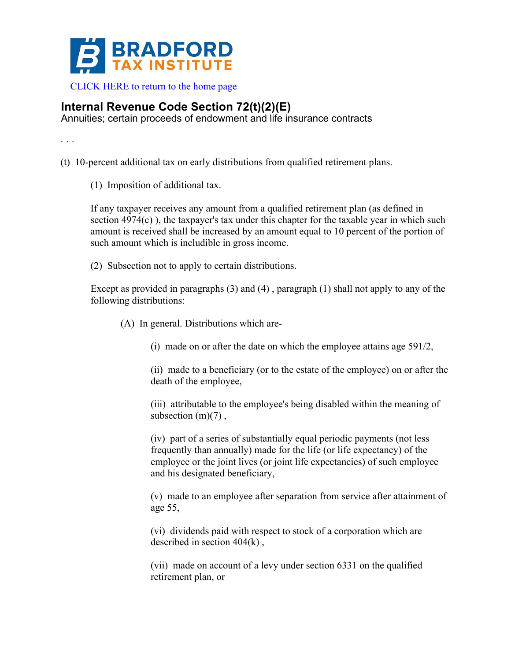

 [CLICK HERE to return to the home page](bradfordtaxinstitute.com) 

## **Internal Revenue Code Section 72(t)(2)(E)**

Annuities; certain proceeds of endowment and life insurance contracts

. . .

- (t) 10-percent additional tax on early distributions from qualified retirement plans.
	- (1) Imposition of additional tax.

If any taxpayer receives any amount from a qualified retirement plan (as defined in section 4974(c) ), the taxpayer's tax under this chapter for the taxable year in which such amount is received shall be increased by an amount equal to 10 percent of the portion of such amount which is includible in gross income.

(2) Subsection not to apply to certain distributions.

Except as provided in paragraphs (3) and (4) , paragraph (1) shall not apply to any of the following distributions:

(A) In general. Distributions which are-

(i) made on or after the date on which the employee attains age 591/2,

(ii) made to a beneficiary (or to the estate of the employee) on or after the death of the employee,

(iii) attributable to the employee's being disabled within the meaning of subsection  $(m)(7)$ ,

(iv) part of a series of substantially equal periodic payments (not less frequently than annually) made for the life (or life expectancy) of the employee or the joint lives (or joint life expectancies) of such employee and his designated beneficiary,

(v) made to an employee after separation from service after attainment of age 55,

(vi) dividends paid with respect to stock of a corporation which are described in section 404(k) ,

(vii) made on account of a levy under section 6331 on the qualified retirement plan, or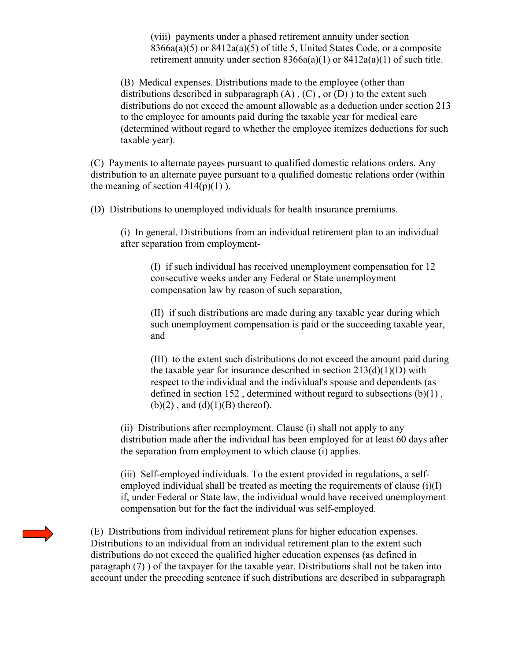(viii) payments under a phased retirement annuity under section 8366a(a)(5) or 8412a(a)(5) of title 5, United States Code, or a composite retirement annuity under section 8366a(a)(1) or 8412a(a)(1) of such title.

(B) Medical expenses. Distributions made to the employee (other than distributions described in subparagraph  $(A)$ ,  $(C)$ , or  $(D)$ ) to the extent such distributions do not exceed the amount allowable as a deduction under section 213 to the employee for amounts paid during the taxable year for medical care (determined without regard to whether the employee itemizes deductions for such taxable year).

(C) Payments to alternate payees pursuant to qualified domestic relations orders. Any distribution to an alternate payee pursuant to a qualified domestic relations order (within the meaning of section  $414(p)(1)$ ).

(D) Distributions to unemployed individuals for health insurance premiums.

(i) In general. Distributions from an individual retirement plan to an individual after separation from employment-

(I) if such individual has received unemployment compensation for 12 consecutive weeks under any Federal or State unemployment compensation law by reason of such separation,

(II) if such distributions are made during any taxable year during which such unemployment compensation is paid or the succeeding taxable year, and

(III) to the extent such distributions do not exceed the amount paid during the taxable year for insurance described in section  $213(d)(1)(D)$  with respect to the individual and the individual's spouse and dependents (as defined in section 152, determined without regard to subsections  $(b)(1)$ ,  $(b)(2)$ , and  $(d)(1)(B)$  thereof).

(ii) Distributions after reemployment. Clause (i) shall not apply to any distribution made after the individual has been employed for at least 60 days after the separation from employment to which clause (i) applies.

(iii) Self-employed individuals. To the extent provided in regulations, a selfemployed individual shall be treated as meeting the requirements of clause  $(i)(I)$ if, under Federal or State law, the individual would have received unemployment compensation but for the fact the individual was self-employed.

(E) Distributions from individual retirement plans for higher education expenses. Distributions to an individual from an individual retirement plan to the extent such distributions do not exceed the qualified higher education expenses (as defined in paragraph  $(7)$ ) of the taxpayer for the taxable year. Distributions shall not be taken into account under the preceding sentence if such distributions are described in subparagraph